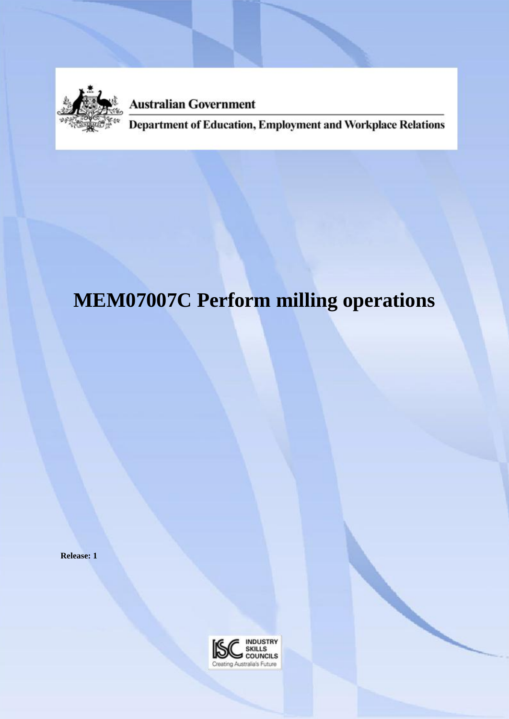

**Australian Government** 

**Department of Education, Employment and Workplace Relations** 

# **MEM07007C Perform milling operations**

**Release: 1**

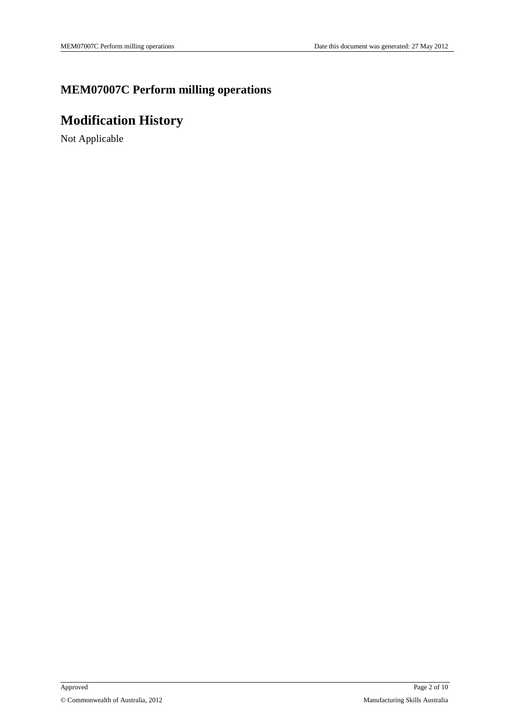### **MEM07007C Perform milling operations**

# **Modification History**

Not Applicable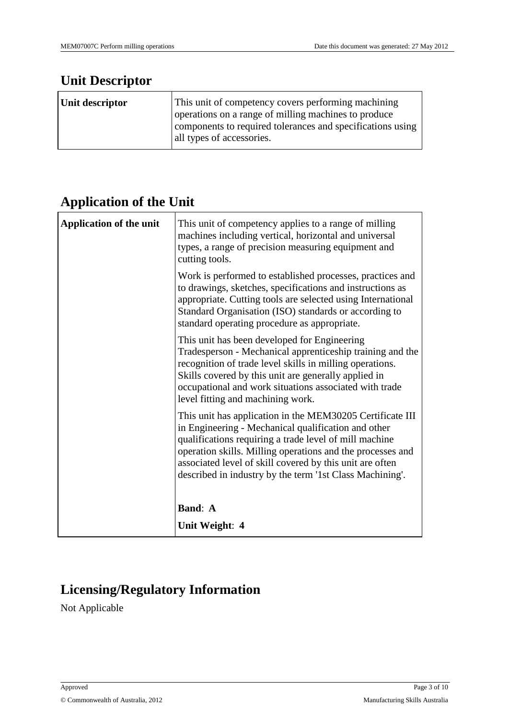### **Unit Descriptor**

| Unit descriptor | This unit of competency covers performing machining                                                                                             |  |
|-----------------|-------------------------------------------------------------------------------------------------------------------------------------------------|--|
|                 | operations on a range of milling machines to produce<br>components to required tolerances and specifications using<br>all types of accessories. |  |

### **Application of the Unit**

| <b>Application of the unit</b> | This unit of competency applies to a range of milling<br>machines including vertical, horizontal and universal<br>types, a range of precision measuring equipment and<br>cutting tools.                                                                                                                                                                          |
|--------------------------------|------------------------------------------------------------------------------------------------------------------------------------------------------------------------------------------------------------------------------------------------------------------------------------------------------------------------------------------------------------------|
|                                | Work is performed to established processes, practices and<br>to drawings, sketches, specifications and instructions as<br>appropriate. Cutting tools are selected using International<br>Standard Organisation (ISO) standards or according to<br>standard operating procedure as appropriate.                                                                   |
|                                | This unit has been developed for Engineering<br>Tradesperson - Mechanical apprenticeship training and the<br>recognition of trade level skills in milling operations.<br>Skills covered by this unit are generally applied in<br>occupational and work situations associated with trade<br>level fitting and machining work.                                     |
|                                | This unit has application in the MEM30205 Certificate III<br>in Engineering - Mechanical qualification and other<br>qualifications requiring a trade level of mill machine<br>operation skills. Milling operations and the processes and<br>associated level of skill covered by this unit are often<br>described in industry by the term '1st Class Machining'. |
|                                | <b>Band: A</b>                                                                                                                                                                                                                                                                                                                                                   |
|                                | Unit Weight: 4                                                                                                                                                                                                                                                                                                                                                   |

# **Licensing/Regulatory Information**

Not Applicable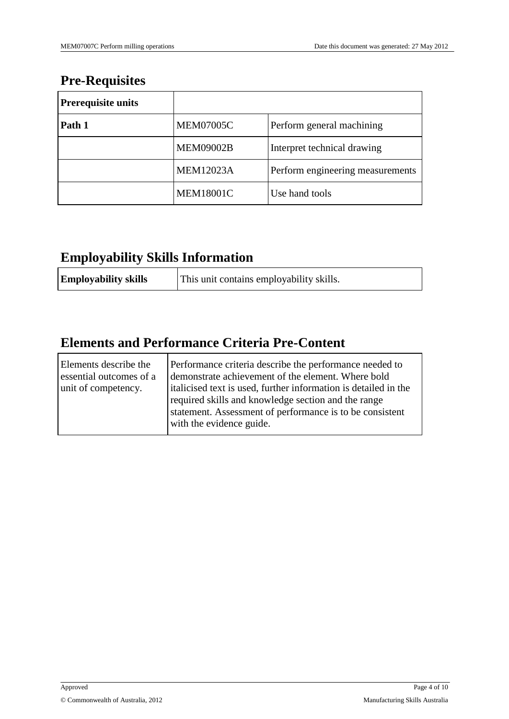### **Pre-Requisites**

| <b>Prerequisite units</b> |                  |                                  |
|---------------------------|------------------|----------------------------------|
| Path 1                    | <b>MEM07005C</b> | Perform general machining        |
|                           | <b>MEM09002B</b> | Interpret technical drawing      |
|                           | <b>MEM12023A</b> | Perform engineering measurements |
|                           | <b>MEM18001C</b> | Use hand tools                   |

### **Employability Skills Information**

| <b>Employability skills</b> | This unit contains employability skills. |
|-----------------------------|------------------------------------------|
|-----------------------------|------------------------------------------|

### **Elements and Performance Criteria Pre-Content**

| Elements describe the<br>essential outcomes of a<br>unit of competency. | Performance criteria describe the performance needed to<br>demonstrate achievement of the element. Where bold<br>italicised text is used, further information is detailed in the<br>required skills and knowledge section and the range<br>statement. Assessment of performance is to be consistent<br>with the evidence guide. |
|-------------------------------------------------------------------------|---------------------------------------------------------------------------------------------------------------------------------------------------------------------------------------------------------------------------------------------------------------------------------------------------------------------------------|
|-------------------------------------------------------------------------|---------------------------------------------------------------------------------------------------------------------------------------------------------------------------------------------------------------------------------------------------------------------------------------------------------------------------------|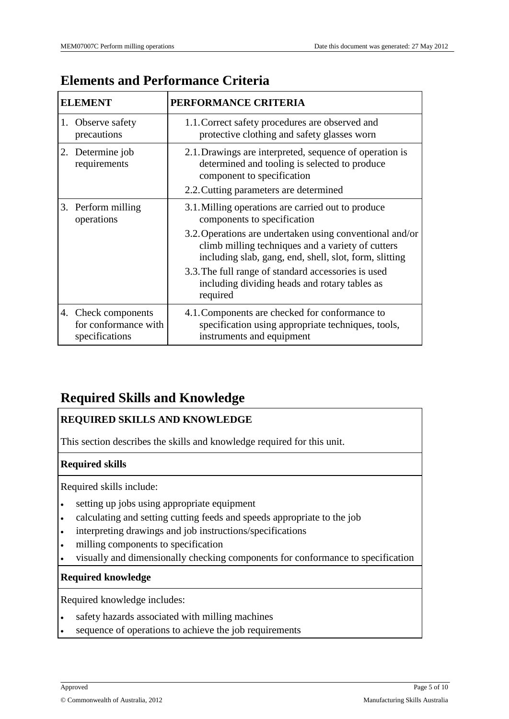| <b>ELEMENT</b>                                                | PERFORMANCE CRITERIA                                                                                                                                                    |
|---------------------------------------------------------------|-------------------------------------------------------------------------------------------------------------------------------------------------------------------------|
| 1. Observe safety<br>precautions                              | 1.1. Correct safety procedures are observed and<br>protective clothing and safety glasses worn                                                                          |
| 2. Determine job<br>requirements                              | 2.1. Drawings are interpreted, sequence of operation is<br>determined and tooling is selected to produce<br>component to specification                                  |
|                                                               | 2.2. Cutting parameters are determined                                                                                                                                  |
| 3. Perform milling<br>operations                              | 3.1. Milling operations are carried out to produce<br>components to specification                                                                                       |
|                                                               | 3.2. Operations are undertaken using conventional and/or<br>climb milling techniques and a variety of cutters<br>including slab, gang, end, shell, slot, form, slitting |
|                                                               | 3.3. The full range of standard accessories is used<br>including dividing heads and rotary tables as<br>required                                                        |
| 4. Check components<br>for conformance with<br>specifications | 4.1. Components are checked for conformance to<br>specification using appropriate techniques, tools,<br>instruments and equipment                                       |

# **Elements and Performance Criteria**

### **Required Skills and Knowledge**

#### **REQUIRED SKILLS AND KNOWLEDGE**

This section describes the skills and knowledge required for this unit.

#### **Required skills**

Required skills include:

- setting up jobs using appropriate equipment
- calculating and setting cutting feeds and speeds appropriate to the job
- interpreting drawings and job instructions/specifications
- milling components to specification
- visually and dimensionally checking components for conformance to specification

#### **Required knowledge**

Required knowledge includes:

- safety hazards associated with milling machines
- sequence of operations to achieve the job requirements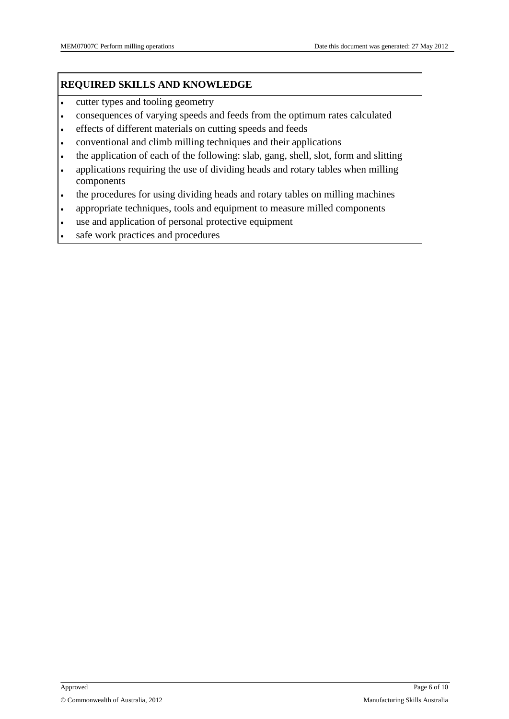#### **REQUIRED SKILLS AND KNOWLEDGE**

- cutter types and tooling geometry
- consequences of varying speeds and feeds from the optimum rates calculated
- effects of different materials on cutting speeds and feeds
- conventional and climb milling techniques and their applications
- the application of each of the following: slab, gang, shell, slot, form and slitting
- applications requiring the use of dividing heads and rotary tables when milling components
- the procedures for using dividing heads and rotary tables on milling machines
- appropriate techniques, tools and equipment to measure milled components
- use and application of personal protective equipment
- safe work practices and procedures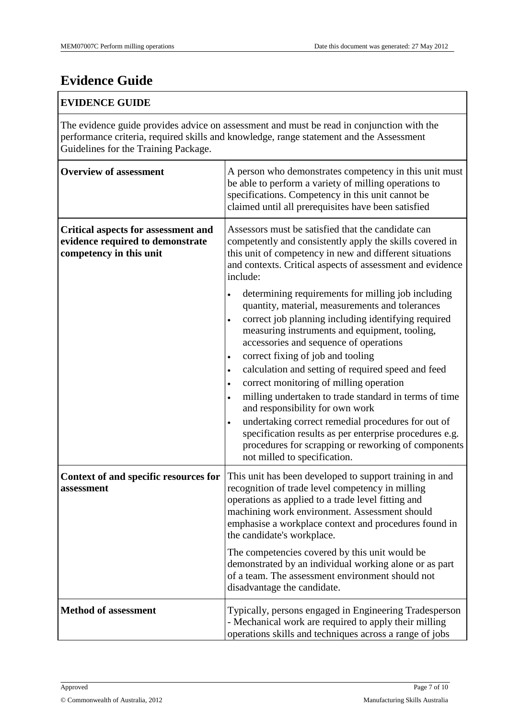# **Evidence Guide**

#### **EVIDENCE GUIDE**

The evidence guide provides advice on assessment and must be read in conjunction with the performance criteria, required skills and knowledge, range statement and the Assessment Guidelines for the Training Package.

| <b>Overview of assessment</b>                                                                             | A person who demonstrates competency in this unit must<br>be able to perform a variety of milling operations to<br>specifications. Competency in this unit cannot be<br>claimed until all prerequisites have been satisfied                                                                                                                                                                                                                                                                                                                                                               |
|-----------------------------------------------------------------------------------------------------------|-------------------------------------------------------------------------------------------------------------------------------------------------------------------------------------------------------------------------------------------------------------------------------------------------------------------------------------------------------------------------------------------------------------------------------------------------------------------------------------------------------------------------------------------------------------------------------------------|
| <b>Critical aspects for assessment and</b><br>evidence required to demonstrate<br>competency in this unit | Assessors must be satisfied that the candidate can<br>competently and consistently apply the skills covered in<br>this unit of competency in new and different situations<br>and contexts. Critical aspects of assessment and evidence<br>include:<br>determining requirements for milling job including<br>$\bullet$<br>quantity, material, measurements and tolerances<br>correct job planning including identifying required<br>$\bullet$<br>measuring instruments and equipment, tooling,<br>accessories and sequence of operations<br>correct fixing of job and tooling<br>$\bullet$ |
|                                                                                                           | calculation and setting of required speed and feed<br>$\bullet$<br>correct monitoring of milling operation<br>$\bullet$<br>milling undertaken to trade standard in terms of time<br>$\bullet$<br>and responsibility for own work<br>undertaking correct remedial procedures for out of<br>$\bullet$<br>specification results as per enterprise procedures e.g.<br>procedures for scrapping or reworking of components<br>not milled to specification.                                                                                                                                     |
| Context of and specific resources for<br>assessment                                                       | This unit has been developed to support training in and<br>recognition of trade level competency in milling<br>operations as applied to a trade level fitting and<br>machining work environment. Assessment should<br>emphasise a workplace context and procedures found in<br>the candidate's workplace.                                                                                                                                                                                                                                                                                 |
|                                                                                                           | The competencies covered by this unit would be<br>demonstrated by an individual working alone or as part<br>of a team. The assessment environment should not<br>disadvantage the candidate.                                                                                                                                                                                                                                                                                                                                                                                               |
| <b>Method of assessment</b>                                                                               | Typically, persons engaged in Engineering Tradesperson<br>- Mechanical work are required to apply their milling<br>operations skills and techniques across a range of jobs                                                                                                                                                                                                                                                                                                                                                                                                                |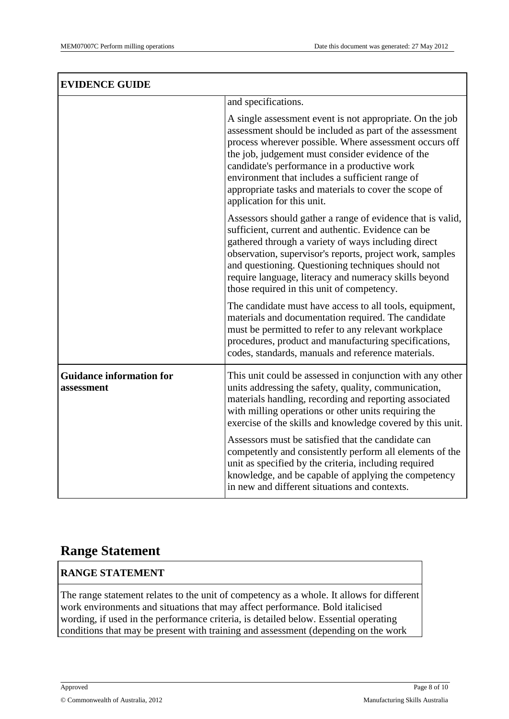$\overline{1}$ 

| <b>EVIDENCE GUIDE</b>                         |                                                                                                                                                                                                                                                                                                                                                                                                                             |
|-----------------------------------------------|-----------------------------------------------------------------------------------------------------------------------------------------------------------------------------------------------------------------------------------------------------------------------------------------------------------------------------------------------------------------------------------------------------------------------------|
|                                               | and specifications.                                                                                                                                                                                                                                                                                                                                                                                                         |
|                                               | A single assessment event is not appropriate. On the job<br>assessment should be included as part of the assessment<br>process wherever possible. Where assessment occurs off<br>the job, judgement must consider evidence of the<br>candidate's performance in a productive work<br>environment that includes a sufficient range of<br>appropriate tasks and materials to cover the scope of<br>application for this unit. |
|                                               | Assessors should gather a range of evidence that is valid,<br>sufficient, current and authentic. Evidence can be<br>gathered through a variety of ways including direct<br>observation, supervisor's reports, project work, samples<br>and questioning. Questioning techniques should not<br>require language, literacy and numeracy skills beyond<br>those required in this unit of competency.                            |
|                                               | The candidate must have access to all tools, equipment,<br>materials and documentation required. The candidate<br>must be permitted to refer to any relevant workplace<br>procedures, product and manufacturing specifications,<br>codes, standards, manuals and reference materials.                                                                                                                                       |
| <b>Guidance information for</b><br>assessment | This unit could be assessed in conjunction with any other<br>units addressing the safety, quality, communication,<br>materials handling, recording and reporting associated<br>with milling operations or other units requiring the<br>exercise of the skills and knowledge covered by this unit.                                                                                                                           |
|                                               | Assessors must be satisfied that the candidate can<br>competently and consistently perform all elements of the<br>unit as specified by the criteria, including required<br>knowledge, and be capable of applying the competency<br>in new and different situations and contexts.                                                                                                                                            |

### **Range Statement**

#### **RANGE STATEMENT**

The range statement relates to the unit of competency as a whole. It allows for different work environments and situations that may affect performance. Bold italicised wording, if used in the performance criteria, is detailed below. Essential operating conditions that may be present with training and assessment (depending on the work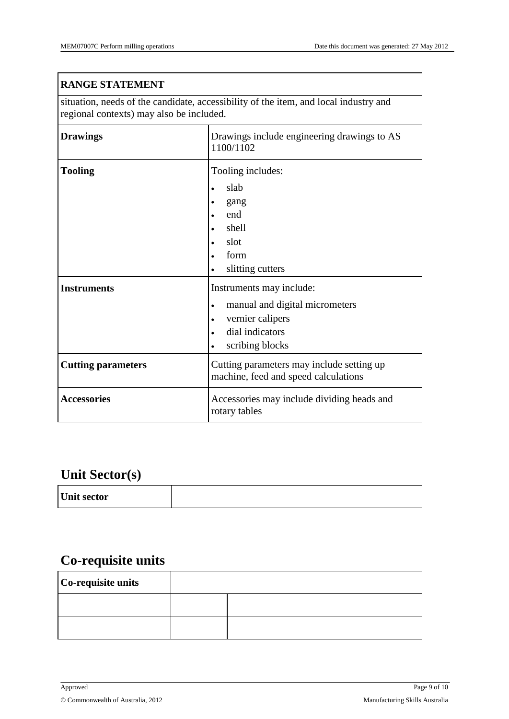| <b>RANGE STATEMENT</b>                                                                                                           |                                                                                                                                                                  |  |
|----------------------------------------------------------------------------------------------------------------------------------|------------------------------------------------------------------------------------------------------------------------------------------------------------------|--|
| situation, needs of the candidate, accessibility of the item, and local industry and<br>regional contexts) may also be included. |                                                                                                                                                                  |  |
| <b>Drawings</b>                                                                                                                  | Drawings include engineering drawings to AS<br>1100/1102                                                                                                         |  |
| <b>Tooling</b>                                                                                                                   | Tooling includes:<br>slab<br>$\bullet$<br>gang<br>end<br>$\bullet$<br>shell<br>slot<br>form<br>slitting cutters                                                  |  |
| <b>Instruments</b>                                                                                                               | Instruments may include:<br>manual and digital micrometers<br>$\bullet$<br>vernier calipers<br>$\bullet$<br>dial indicators<br>$\bullet$<br>scribing blocks<br>٠ |  |
| <b>Cutting parameters</b>                                                                                                        | Cutting parameters may include setting up<br>machine, feed and speed calculations                                                                                |  |
| <b>Accessories</b>                                                                                                               | Accessories may include dividing heads and<br>rotary tables                                                                                                      |  |

# **Unit Sector(s)**

| <b>Unit sector</b> |  |
|--------------------|--|

# **Co-requisite units**

| Co-requisite units |  |  |
|--------------------|--|--|
|                    |  |  |
|                    |  |  |